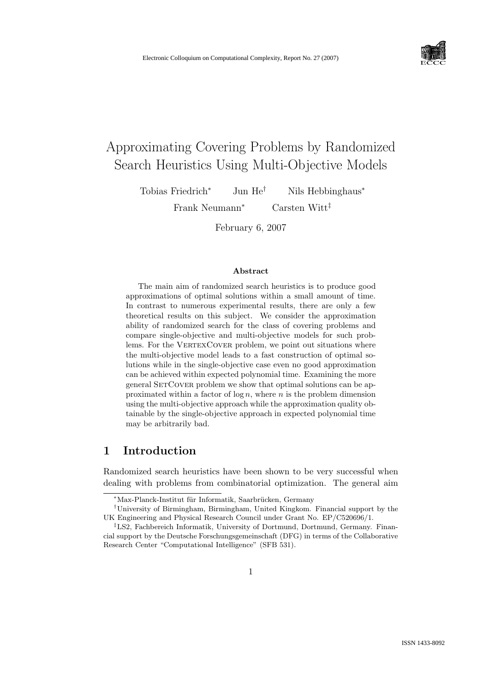

# Approximating Covering Problems by Randomized Search Heuristics Using Multi-Objective Models

Tobias Friedrich<sup>∗</sup> Jun He<sup>†</sup> Nils Hebbinghaus<sup>∗</sup>

Frank Neumann<sup>∗</sup> Carsten Witt‡

February 6, 2007

#### Abstract

The main aim of randomized search heuristics is to produce good approximations of optimal solutions within a small amount of time. In contrast to numerous experimental results, there are only a few theoretical results on this subject. We consider the approximation ability of randomized search for the class of covering problems and compare single-objective and multi-objective models for such problems. For the VERTEXCOVER problem, we point out situations where the multi-objective model leads to a fast construction of optimal solutions while in the single-objective case even no good approximation can be achieved within expected polynomial time. Examining the more general SETCOVER problem we show that optimal solutions can be approximated within a factor of  $\log n$ , where n is the problem dimension using the multi-objective approach while the approximation quality obtainable by the single-objective approach in expected polynomial time may be arbitrarily bad.

## 1 Introduction

Randomized search heuristics have been shown to be very successful when dealing with problems from combinatorial optimization. The general aim

<sup>&</sup>lt;sup>\*</sup>Max-Planck-Institut für Informatik, Saarbrücken, Germany

<sup>†</sup>University of Birmingham, Birmingham, United Kingkom. Financial support by the UK Engineering and Physical Research Council under Grant No. EP/C520696/1.

<sup>‡</sup>LS2, Fachbereich Informatik, University of Dortmund, Dortmund, Germany. Financial support by the Deutsche Forschungsgemeinschaft (DFG) in terms of the Collaborative Research Center "Computational Intelligence" (SFB 531).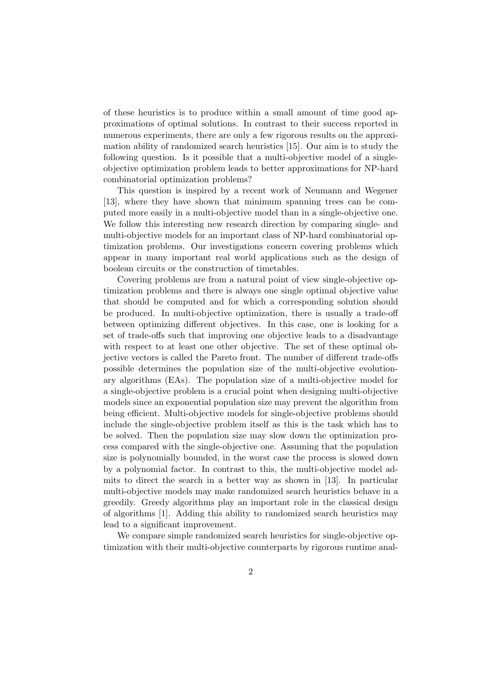of these heuristics is to produce within a small amount of time good approximations of optimal solutions. In contrast to their success reported in numerous experiments, there are only a few rigorous results on the approximation ability of randomized search heuristics [15]. Our aim is to study the following question. Is it possible that a multi-objective model of a singleobjective optimization problem leads to better approximations for NP-hard combinatorial optimization problems?

This question is inspired by a recent work of Neumann and Wegener [13], where they have shown that minimum spanning trees can be computed more easily in a multi-objective model than in a single-objective one. We follow this interesting new research direction by comparing single- and multi-objective models for an important class of NP-hard combinatorial optimization problems. Our investigations concern covering problems which appear in many important real world applications such as the design of boolean circuits or the construction of timetables.

Covering problems are from a natural point of view single-objective optimization problems and there is always one single optimal objective value that should be computed and for which a corresponding solution should be produced. In multi-objective optimization, there is usually a trade-off between optimizing different objectives. In this case, one is looking for a set of trade-offs such that improving one objective leads to a disadvantage with respect to at least one other objective. The set of these optimal objective vectors is called the Pareto front. The number of different trade-offs possible determines the population size of the multi-objective evolutionary algorithms (EAs). The population size of a multi-objective model for a single-objective problem is a crucial point when designing multi-objective models since an exponential population size may prevent the algorithm from being efficient. Multi-objective models for single-objective problems should include the single-objective problem itself as this is the task which has to be solved. Then the population size may slow down the optimization process compared with the single-objective one. Assuming that the population size is polynomially bounded, in the worst case the process is slowed down by a polynomial factor. In contrast to this, the multi-objective model admits to direct the search in a better way as shown in [13]. In particular multi-objective models may make randomized search heuristics behave in a greedily. Greedy algorithms play an important role in the classical design of algorithms [1]. Adding this ability to randomized search heuristics may lead to a significant improvement.

We compare simple randomized search heuristics for single-objective optimization with their multi-objective counterparts by rigorous runtime anal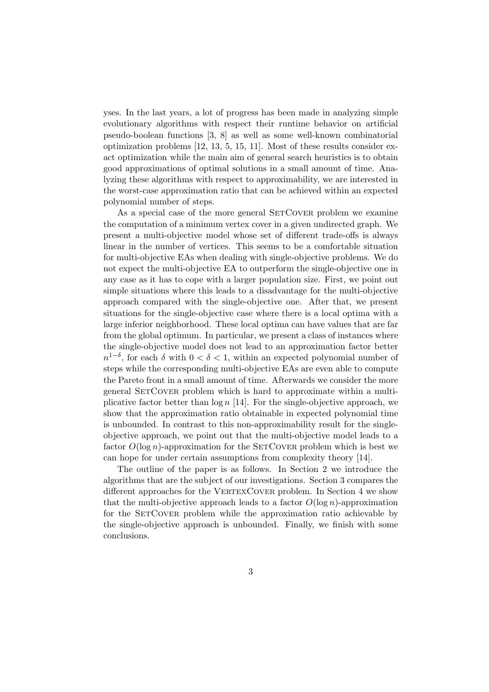yses. In the last years, a lot of progress has been made in analyzing simple evolutionary algorithms with respect their runtime behavior on artificial pseudo-boolean functions [3, 8] as well as some well-known combinatorial optimization problems [12, 13, 5, 15, 11]. Most of these results consider exact optimization while the main aim of general search heuristics is to obtain good approximations of optimal solutions in a small amount of time. Analyzing these algorithms with respect to approximability, we are interested in the worst-case approximation ratio that can be achieved within an expected polynomial number of steps.

As a special case of the more general SETCOVER problem we examine the computation of a minimum vertex cover in a given undirected graph. We present a multi-objective model whose set of different trade-offs is always linear in the number of vertices. This seems to be a comfortable situation for multi-objective EAs when dealing with single-objective problems. We do not expect the multi-objective EA to outperform the single-objective one in any case as it has to cope with a larger population size. First, we point out simple situations where this leads to a disadvantage for the multi-objective approach compared with the single-objective one. After that, we present situations for the single-objective case where there is a local optima with a large inferior neighborhood. These local optima can have values that are far from the global optimum. In particular, we present a class of instances where the single-objective model does not lead to an approximation factor better  $n^{1-\delta}$ , for each  $\delta$  with  $0 < \delta < 1$ , within an expected polynomial number of steps while the corresponding multi-objective EAs are even able to compute the Pareto front in a small amount of time. Afterwards we consider the more general SETCOVER problem which is hard to approximate within a multiplicative factor better than  $\log n$  [14]. For the single-objective approach, we show that the approximation ratio obtainable in expected polynomial time is unbounded. In contrast to this non-approximability result for the singleobjective approach, we point out that the multi-objective model leads to a factor  $O(\log n)$ -approximation for the SETCOVER problem which is best we can hope for under certain assumptions from complexity theory [14].

The outline of the paper is as follows. In Section 2 we introduce the algorithms that are the subject of our investigations. Section 3 compares the different approaches for the VERTEXCOVER problem. In Section 4 we show that the multi-objective approach leads to a factor  $O(\log n)$ -approximation for the SETCOVER problem while the approximation ratio achievable by the single-objective approach is unbounded. Finally, we finish with some conclusions.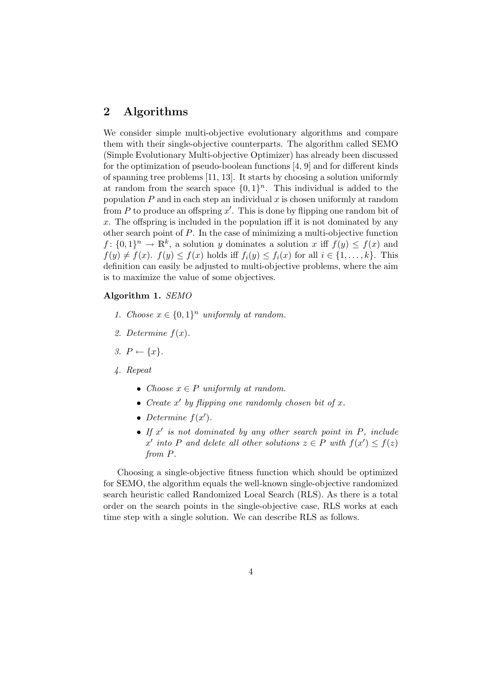## 2 Algorithms

We consider simple multi-objective evolutionary algorithms and compare them with their single-objective counterparts. The algorithm called SEMO (Simple Evolutionary Multi-objective Optimizer) has already been discussed for the optimization of pseudo-boolean functions [4, 9] and for different kinds of spanning tree problems [11, 13]. It starts by choosing a solution uniformly at random from the search space  $\{0,1\}^n$ . This individual is added to the population  $P$  and in each step an individual  $x$  is chosen uniformly at random from  $P$  to produce an offspring  $x'$ . This is done by flipping one random bit of  $x$ . The offspring is included in the population iff it is not dominated by any other search point of P. In the case of minimizing a multi-objective function  $f: \{0,1\}^n \to \mathbb{R}^k$ , a solution y dominates a solution x iff  $f(y) \le f(x)$  and  $f(y) \neq f(x)$ .  $f(y) \leq f(x)$  holds iff  $f_i(y) \leq f_i(x)$  for all  $i \in \{1, \ldots, k\}$ . This definition can easily be adjusted to multi-objective problems, where the aim is to maximize the value of some objectives.

### Algorithm 1. SEMO

- 1. Choose  $x \in \{0,1\}^n$  uniformly at random.
- 2. Determine  $f(x)$ .
- 3.  $P \leftarrow \{x\}.$
- 4. Repeat
	- Choose  $x \in P$  uniformly at random.
	- Create  $x'$  by flipping one randomly chosen bit of  $x$ .
	- Determine  $f(x')$ .
	- If  $x'$  is not dominated by any other search point in  $P$ , include x' into P and delete all other solutions  $z \in P$  with  $f(x') \leq f(z)$ from P.

Choosing a single-objective fitness function which should be optimized for SEMO, the algorithm equals the well-known single-objective randomized search heuristic called Randomized Local Search (RLS). As there is a total order on the search points in the single-objective case, RLS works at each time step with a single solution. We can describe RLS as follows.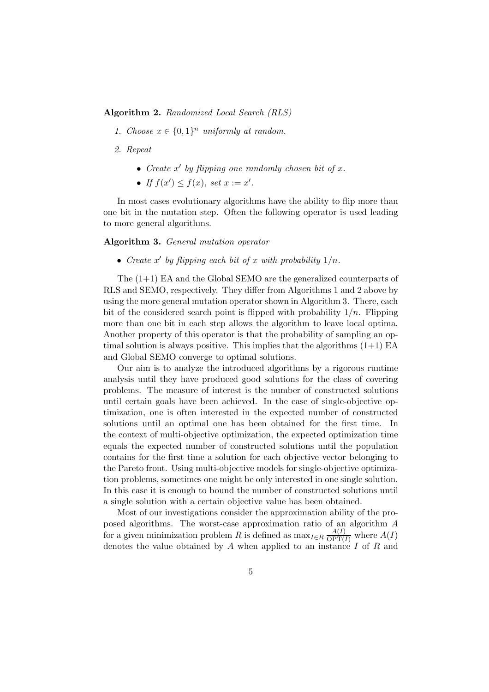Algorithm 2. Randomized Local Search (RLS)

- 1. Choose  $x \in \{0,1\}^n$  uniformly at random.
- 2. Repeat
	- Create  $x'$  by flipping one randomly chosen bit of  $x$ .
	- If  $f(x') \leq f(x)$ , set  $x := x'$ .

In most cases evolutionary algorithms have the ability to flip more than one bit in the mutation step. Often the following operator is used leading to more general algorithms.

Algorithm 3. General mutation operator

• Create x' by flipping each bit of x with probability  $1/n$ .

The (1+1) EA and the Global SEMO are the generalized counterparts of RLS and SEMO, respectively. They differ from Algorithms 1 and 2 above by using the more general mutation operator shown in Algorithm 3. There, each bit of the considered search point is flipped with probability  $1/n$ . Flipping more than one bit in each step allows the algorithm to leave local optima. Another property of this operator is that the probability of sampling an optimal solution is always positive. This implies that the algorithms  $(1+1)$  EA and Global SEMO converge to optimal solutions.

Our aim is to analyze the introduced algorithms by a rigorous runtime analysis until they have produced good solutions for the class of covering problems. The measure of interest is the number of constructed solutions until certain goals have been achieved. In the case of single-objective optimization, one is often interested in the expected number of constructed solutions until an optimal one has been obtained for the first time. In the context of multi-objective optimization, the expected optimization time equals the expected number of constructed solutions until the population contains for the first time a solution for each objective vector belonging to the Pareto front. Using multi-objective models for single-objective optimization problems, sometimes one might be only interested in one single solution. In this case it is enough to bound the number of constructed solutions until a single solution with a certain objective value has been obtained.

Most of our investigations consider the approximation ability of the proposed algorithms. The worst-case approximation ratio of an algorithm A for a given minimization problem R is defined as  $\max_{I \in R} \frac{A(I)}{OPT(I)}$  $\frac{A(I)}{\text{OPT}(I)}$  where  $A(I)$ denotes the value obtained by A when applied to an instance I of R and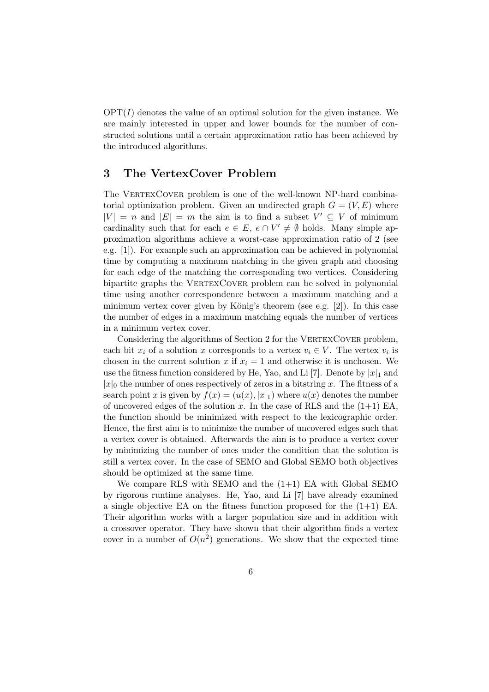$\text{OPT}(I)$  denotes the value of an optimal solution for the given instance. We are mainly interested in upper and lower bounds for the number of constructed solutions until a certain approximation ratio has been achieved by the introduced algorithms.

## 3 The VertexCover Problem

The VERTEXCOVER problem is one of the well-known NP-hard combinatorial optimization problem. Given an undirected graph  $G = (V, E)$  where  $|V| = n$  and  $|E| = m$  the aim is to find a subset  $V' \subseteq V$  of minimum cardinality such that for each  $e \in E$ ,  $e \cap V' \neq \emptyset$  holds. Many simple approximation algorithms achieve a worst-case approximation ratio of 2 (see e.g. [1]). For example such an approximation can be achieved in polynomial time by computing a maximum matching in the given graph and choosing for each edge of the matching the corresponding two vertices. Considering bipartite graphs the VERTEXCOVER problem can be solved in polynomial time using another correspondence between a maximum matching and a minimum vertex cover given by König's theorem (see e.g.  $[2]$ ). In this case the number of edges in a maximum matching equals the number of vertices in a minimum vertex cover.

Considering the algorithms of Section 2 for the VERTEXCOVER problem, each bit  $x_i$  of a solution x corresponds to a vertex  $v_i \in V$ . The vertex  $v_i$  is chosen in the current solution x if  $x<sub>i</sub> = 1$  and otherwise it is unchosen. We use the fitness function considered by He, Yao, and Li [7]. Denote by  $|x|_1$  and  $|x|_0$  the number of ones respectively of zeros in a bitstring x. The fitness of a search point x is given by  $f(x) = (u(x), |x|_1)$  where  $u(x)$  denotes the number of uncovered edges of the solution x. In the case of RLS and the  $(1+1)$  EA, the function should be minimized with respect to the lexicographic order. Hence, the first aim is to minimize the number of uncovered edges such that a vertex cover is obtained. Afterwards the aim is to produce a vertex cover by minimizing the number of ones under the condition that the solution is still a vertex cover. In the case of SEMO and Global SEMO both objectives should be optimized at the same time.

We compare RLS with SEMO and the  $(1+1)$  EA with Global SEMO by rigorous runtime analyses. He, Yao, and Li [7] have already examined a single objective EA on the fitness function proposed for the  $(1+1)$  EA. Their algorithm works with a larger population size and in addition with a crossover operator. They have shown that their algorithm finds a vertex cover in a number of  $O(n^2)$  generations. We show that the expected time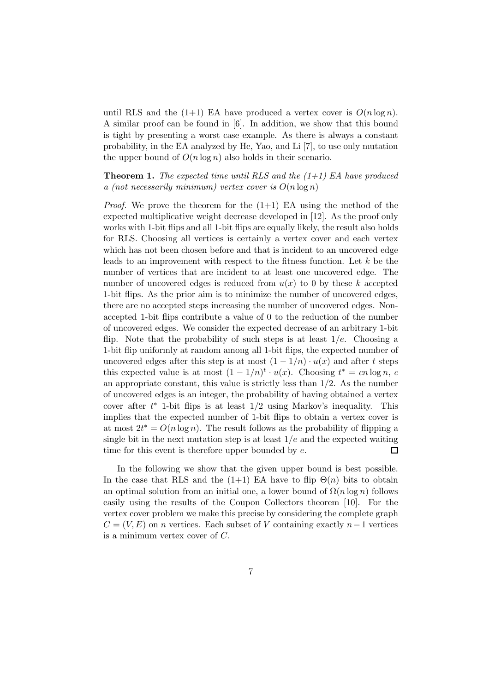until RLS and the (1+1) EA have produced a vertex cover is  $O(n \log n)$ . A similar proof can be found in [6]. In addition, we show that this bound is tight by presenting a worst case example. As there is always a constant probability, in the EA analyzed by He, Yao, and Li [7], to use only mutation the upper bound of  $O(n \log n)$  also holds in their scenario.

**Theorem 1.** The expected time until RLS and the  $(1+1)$  EA have produced a (not necessarily minimum) vertex cover is  $O(n \log n)$ 

*Proof.* We prove the theorem for the  $(1+1)$  EA using the method of the expected multiplicative weight decrease developed in [12]. As the proof only works with 1-bit flips and all 1-bit flips are equally likely, the result also holds for RLS. Choosing all vertices is certainly a vertex cover and each vertex which has not been chosen before and that is incident to an uncovered edge leads to an improvement with respect to the fitness function. Let  $k$  be the number of vertices that are incident to at least one uncovered edge. The number of uncovered edges is reduced from  $u(x)$  to 0 by these k accepted 1-bit flips. As the prior aim is to minimize the number of uncovered edges, there are no accepted steps increasing the number of uncovered edges. Nonaccepted 1-bit flips contribute a value of 0 to the reduction of the number of uncovered edges. We consider the expected decrease of an arbitrary 1-bit flip. Note that the probability of such steps is at least  $1/e$ . Choosing a 1-bit flip uniformly at random among all 1-bit flips, the expected number of uncovered edges after this step is at most  $(1 - 1/n) \cdot u(x)$  and after t steps this expected value is at most  $(1 - 1/n)^t \cdot u(x)$ . Choosing  $t^* = cn \log n$ , c an appropriate constant, this value is strictly less than  $1/2$ . As the number of uncovered edges is an integer, the probability of having obtained a vertex cover after  $t^*$  1-bit flips is at least  $1/2$  using Markov's inequality. This implies that the expected number of 1-bit flips to obtain a vertex cover is at most  $2t^* = O(n \log n)$ . The result follows as the probability of flipping a single bit in the next mutation step is at least  $1/e$  and the expected waiting time for this event is therefore upper bounded by  $e$ .  $\Box$ 

In the following we show that the given upper bound is best possible. In the case that RLS and the (1+1) EA have to flip  $\Theta(n)$  bits to obtain an optimal solution from an initial one, a lower bound of  $\Omega(n \log n)$  follows easily using the results of the Coupon Collectors theorem [10]. For the vertex cover problem we make this precise by considering the complete graph  $C = (V, E)$  on *n* vertices. Each subset of V containing exactly *n* – 1 vertices is a minimum vertex cover of C.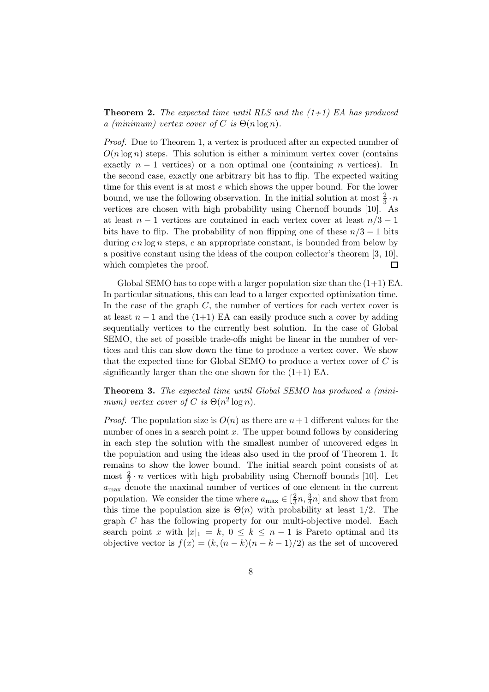**Theorem 2.** The expected time until RLS and the  $(1+1)$  EA has produced a (minimum) vertex cover of C is  $\Theta(n \log n)$ .

Proof. Due to Theorem 1, a vertex is produced after an expected number of  $O(n \log n)$  steps. This solution is either a minimum vertex cover (contains exactly  $n-1$  vertices) or a non optimal one (containing n vertices). In the second case, exactly one arbitrary bit has to flip. The expected waiting time for this event is at most e which shows the upper bound. For the lower bound, we use the following observation. In the initial solution at most  $\frac{2}{3} \cdot n$ vertices are chosen with high probability using Chernoff bounds [10]. As at least  $n-1$  vertices are contained in each vertex cover at least  $n/3-1$ bits have to flip. The probability of non flipping one of these  $n/3 - 1$  bits during  $cn \log n$  steps, c an appropriate constant, is bounded from below by a positive constant using the ideas of the coupon collector's theorem [3, 10], which completes the proof.  $\Box$ 

Global SEMO has to cope with a larger population size than the  $(1+1)$  EA. In particular situations, this can lead to a larger expected optimization time. In the case of the graph  $C$ , the number of vertices for each vertex cover is at least  $n-1$  and the (1+1) EA can easily produce such a cover by adding sequentially vertices to the currently best solution. In the case of Global SEMO, the set of possible trade-offs might be linear in the number of vertices and this can slow down the time to produce a vertex cover. We show that the expected time for Global SEMO to produce a vertex cover of  $C$  is significantly larger than the one shown for the  $(1+1)$  EA.

Theorem 3. The expected time until Global SEMO has produced a (minimum) vertex cover of C is  $\Theta(n^2 \log n)$ .

*Proof.* The population size is  $O(n)$  as there are  $n+1$  different values for the number of ones in a search point  $x$ . The upper bound follows by considering in each step the solution with the smallest number of uncovered edges in the population and using the ideas also used in the proof of Theorem 1. It remains to show the lower bound. The initial search point consists of at most  $\frac{2}{3} \cdot n$  vertices with high probability using Chernoff bounds [10]. Let  $a<sub>max</sub>$  denote the maximal number of vertices of one element in the current population. We consider the time where  $a_{\text{max}} \in \left[\frac{2}{3}\right]$  $\frac{2}{3}n, \frac{3}{4}n$  and show that from this time the population size is  $\Theta(n)$  with probability at least 1/2. The graph C has the following property for our multi-objective model. Each search point x with  $|x|_1 = k$ ,  $0 \le k \le n-1$  is Pareto optimal and its objective vector is  $f(x) = (k,(n-k)(n-k-1)/2)$  as the set of uncovered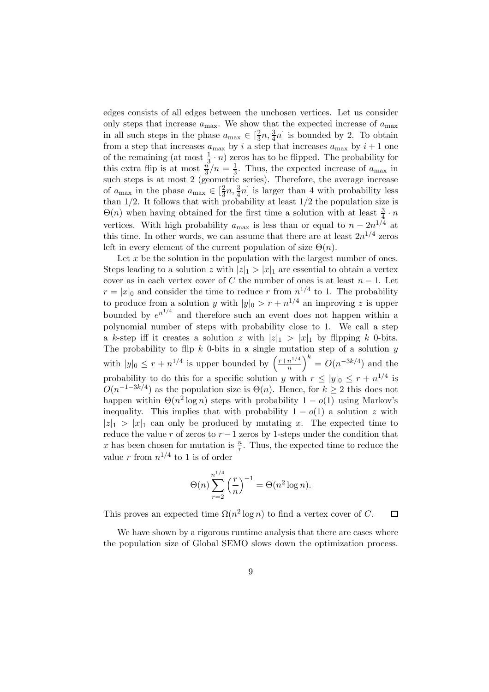edges consists of all edges between the unchosen vertices. Let us consider only steps that increase  $a_{\text{max}}$ . We show that the expected increase of  $a_{\text{max}}$ in all such steps in the phase  $a_{\text{max}} \in \left[\frac{2}{3}\right]$  $\frac{2}{3}n, \frac{3}{4}n]$  is bounded by 2. To obtain from a step that increases  $a_{\text{max}}$  by i a step that increases  $a_{\text{max}}$  by  $i + 1$  one of the remaining (at most  $\frac{1}{3} \cdot n$ ) zeros has to be flipped. The probability for this extra flip is at most  $\frac{n}{3}/n = \frac{1}{3}$ . Thus, the expected increase of  $a_{\text{max}}$  in such steps is at most 2 (geometric series). Therefore, the average increase of  $a_{\text{max}}$  in the phase  $a_{\text{max}} \in \left[\frac{2}{3}\right]$  $\frac{2}{3}n, \frac{3}{4}n]$  is larger than 4 with probability less than  $1/2$ . It follows that with probability at least  $1/2$  the population size is  $\Theta(n)$  when having obtained for the first time a solution with at least  $\frac{3}{4} \cdot n$ vertices. With high probability  $a_{\text{max}}$  is less than or equal to  $n - 2n^{1/4}$  at this time. In other words, we can assume that there are at least  $2n^{1/4}$  zeros left in every element of the current population of size  $\Theta(n)$ .

Let  $x$  be the solution in the population with the largest number of ones. Steps leading to a solution z with  $|z|_1 > |x|_1$  are essential to obtain a vertex cover as in each vertex cover of C the number of ones is at least  $n-1$ . Let  $r = |x|_0$  and consider the time to reduce r from  $n^{1/4}$  to 1. The probability to produce from a solution y with  $|y|_0 > r + n^{1/4}$  an improving z is upper bounded by  $e^{n^{1/4}}$  and therefore such an event does not happen within a polynomial number of steps with probability close to 1. We call a step a k-step iff it creates a solution z with  $|z|_1 > |x|_1$  by flipping k 0-bits. The probability to flip  $k$  0-bits in a single mutation step of a solution  $y$ with  $|y|_0 \leq r + n^{1/4}$  is upper bounded by  $\left(\frac{r+n^{1/4}}{n}\right)$  $\left(n^{1/4}\right)^k = O(n^{-3k/4})$  and the probability to do this for a specific solution y with  $r \le |y|_0 \le r + n^{1/4}$  is  $O(n^{-1-3k/4})$  as the population size is  $\Theta(n)$ . Hence, for  $k \geq 2$  this does not happen within  $\Theta(n^2 \log n)$  steps with probability  $1 - o(1)$  using Markov's inequality. This implies that with probability  $1 - o(1)$  a solution z with  $|z|_1 > |x|_1$  can only be produced by mutating x. The expected time to reduce the value r of zeros to  $r-1$  zeros by 1-steps under the condition that x has been chosen for mutation is  $\frac{n}{r}$ . Thus, the expected time to reduce the value r from  $n^{1/4}$  to 1 is of order

$$
\Theta(n) \sum_{r=2}^{n^{1/4}} \left(\frac{r}{n}\right)^{-1} = \Theta(n^2 \log n).
$$

This proves an expected time  $\Omega(n^2 \log n)$  to find a vertex cover of C.  $\Box$ 

We have shown by a rigorous runtime analysis that there are cases where the population size of Global SEMO slows down the optimization process.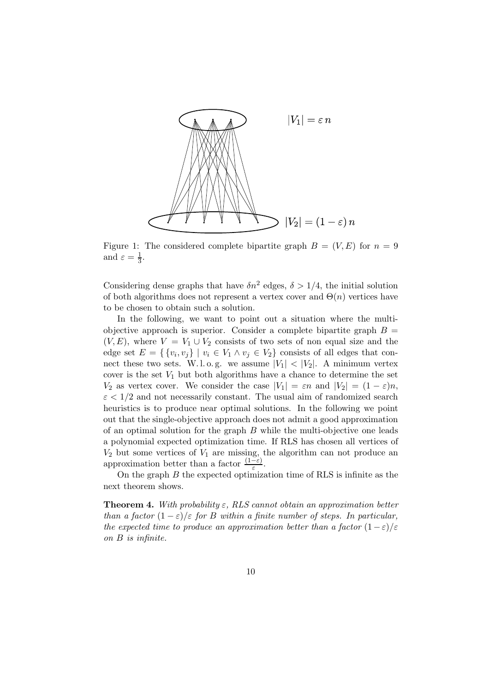

Figure 1: The considered complete bipartite graph  $B = (V, E)$  for  $n = 9$ and  $\varepsilon = \frac{1}{3}$  $\frac{1}{3}$ .

Considering dense graphs that have  $\delta n^2$  edges,  $\delta > 1/4$ , the initial solution of both algorithms does not represent a vertex cover and  $\Theta(n)$  vertices have to be chosen to obtain such a solution.

In the following, we want to point out a situation where the multiobjective approach is superior. Consider a complete bipartite graph  $B =$  $(V, E)$ , where  $V = V_1 \cup V_2$  consists of two sets of non equal size and the edge set  $E = \{ \{v_i, v_j\} \mid v_i \in V_1 \land v_j \in V_2 \}$  consists of all edges that connect these two sets. W.l.o.g. we assume  $|V_1|$  <  $|V_2|$ . A minimum vertex cover is the set  $V_1$  but both algorithms have a chance to determine the set  $V_2$  as vertex cover. We consider the case  $|V_1| = \varepsilon n$  and  $|V_2| = (1 - \varepsilon)n$ ,  $\varepsilon$  < 1/2 and not necessarily constant. The usual aim of randomized search heuristics is to produce near optimal solutions. In the following we point out that the single-objective approach does not admit a good approximation of an optimal solution for the graph  $B$  while the multi-objective one leads a polynomial expected optimization time. If RLS has chosen all vertices of  $V_2$  but some vertices of  $V_1$  are missing, the algorithm can not produce an approximation better than a factor  $\frac{(1-\varepsilon)}{\varepsilon}$ .

On the graph  $B$  the expected optimization time of RLS is infinite as the next theorem shows.

**Theorem 4.** With probability  $\varepsilon$ , RLS cannot obtain an approximation better than a factor  $(1 - \varepsilon)/\varepsilon$  for B within a finite number of steps. In particular, the expected time to produce an approximation better than a factor  $(1-\varepsilon)/\varepsilon$ on B is infinite.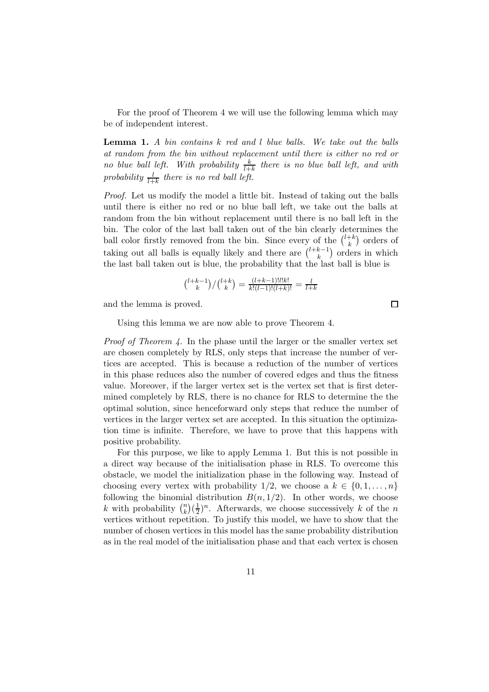For the proof of Theorem 4 we will use the following lemma which may be of independent interest.

Lemma 1. A bin contains k red and l blue balls. We take out the balls at random from the bin without replacement until there is either no red or no blue ball left. With probability  $\frac{k}{l+k}$  there is no blue ball left, and with probability  $\frac{l}{l+k}$  there is no red ball left.

Proof. Let us modify the model a little bit. Instead of taking out the balls until there is either no red or no blue ball left, we take out the balls at random from the bin without replacement until there is no ball left in the bin. The color of the last ball taken out of the bin clearly determines the ball color firstly removed from the bin. Since every of the  $\binom{l+k}{k}$  $\binom{+k}{k}$  orders of taking out all balls is equally likely and there are  $\binom{l+k-1}{k}$  $\binom{k-1}{k}$  orders in which the last ball taken out is blue, the probability that the last ball is blue is

$$
\tbinom{l+k-1}{k}/\tbinom{l+k}{k}=\tfrac{(l+k-1)!l!k!}{k!(l-1)!(l+k)!}=\tfrac{l}{l+k}
$$

and the lemma is proved.

Using this lemma we are now able to prove Theorem 4.

*Proof of Theorem 4.* In the phase until the larger or the smaller vertex set are chosen completely by RLS, only steps that increase the number of vertices are accepted. This is because a reduction of the number of vertices in this phase reduces also the number of covered edges and thus the fitness value. Moreover, if the larger vertex set is the vertex set that is first determined completely by RLS, there is no chance for RLS to determine the the optimal solution, since henceforward only steps that reduce the number of vertices in the larger vertex set are accepted. In this situation the optimization time is infinite. Therefore, we have to prove that this happens with positive probability.

For this purpose, we like to apply Lemma 1. But this is not possible in a direct way because of the initialisation phase in RLS. To overcome this obstacle, we model the initialization phase in the following way. Instead of choosing every vertex with probability 1/2, we choose a  $k \in \{0, 1, \ldots, n\}$ following the binomial distribution  $B(n, 1/2)$ . In other words, we choose k with probability  $\binom{n}{k}$  $\binom{n}{k}$  $\left(\frac{1}{2}\right)$  $\frac{1}{2}$ <sup>n</sup>. Afterwards, we choose successively k of the n vertices without repetition. To justify this model, we have to show that the number of chosen vertices in this model has the same probability distribution as in the real model of the initialisation phase and that each vertex is chosen

 $\Box$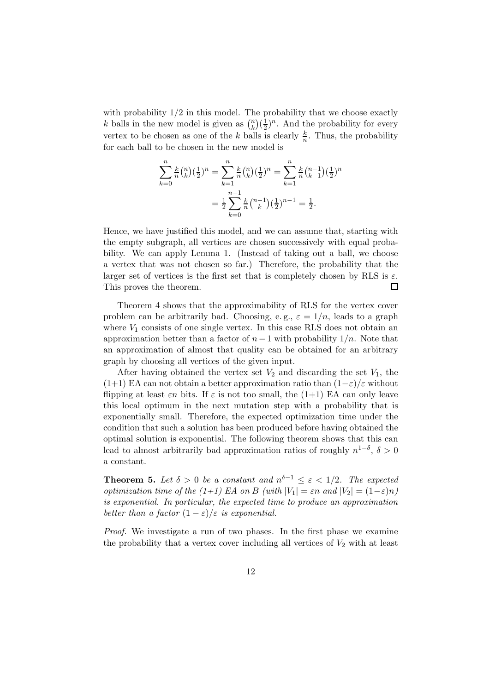with probability  $1/2$  in this model. The probability that we choose exactly k balls in the new model is given as  $\binom{n}{k}$  $\binom{n}{k}$  ( $\frac{1}{2}$  $(\frac{1}{2})^n$ . And the probability for every vertex to be chosen as one of the k balls is clearly  $\frac{k}{n}$ . Thus, the probability for each ball to be chosen in the new model is

$$
\sum_{k=0}^{n} \frac{k}{n} {n \choose k} (\frac{1}{2})^n = \sum_{k=1}^{n} \frac{k}{n} {n \choose k} (\frac{1}{2})^n = \sum_{k=1}^{n} \frac{k}{n} {n-1 \choose k-1} (\frac{1}{2})^n
$$

$$
= \frac{1}{2} \sum_{k=0}^{n-1} \frac{k}{n} {n-1 \choose k} (\frac{1}{2})^{n-1} = \frac{1}{2}.
$$

Hence, we have justified this model, and we can assume that, starting with the empty subgraph, all vertices are chosen successively with equal probability. We can apply Lemma 1. (Instead of taking out a ball, we choose a vertex that was not chosen so far.) Therefore, the probability that the larger set of vertices is the first set that is completely chosen by RLS is  $\varepsilon$ . This proves the theorem.  $\Box$ 

Theorem 4 shows that the approximability of RLS for the vertex cover problem can be arbitrarily bad. Choosing, e.g.,  $\varepsilon = 1/n$ , leads to a graph where  $V_1$  consists of one single vertex. In this case RLS does not obtain an approximation better than a factor of  $n-1$  with probability  $1/n$ . Note that an approximation of almost that quality can be obtained for an arbitrary graph by choosing all vertices of the given input.

After having obtained the vertex set  $V_2$  and discarding the set  $V_1$ , the  $(1+1)$  EA can not obtain a better approximation ratio than  $(1-\varepsilon)/\varepsilon$  without flipping at least  $\varepsilon n$  bits. If  $\varepsilon$  is not too small, the (1+1) EA can only leave this local optimum in the next mutation step with a probability that is exponentially small. Therefore, the expected optimization time under the condition that such a solution has been produced before having obtained the optimal solution is exponential. The following theorem shows that this can lead to almost arbitrarily bad approximation ratios of roughly  $n^{1-\delta}$ ,  $\delta > 0$ a constant.

**Theorem 5.** Let  $\delta > 0$  be a constant and  $n^{\delta-1} \leq \varepsilon < 1/2$ . The expected optimization time of the (1+1) EA on B (with  $|V_1| = \varepsilon n$  and  $|V_2| = (1-\varepsilon)n$ ) is exponential. In particular, the expected time to produce an approximation better than a factor  $(1 - \varepsilon)/\varepsilon$  is exponential.

*Proof.* We investigate a run of two phases. In the first phase we examine the probability that a vertex cover including all vertices of  $V_2$  with at least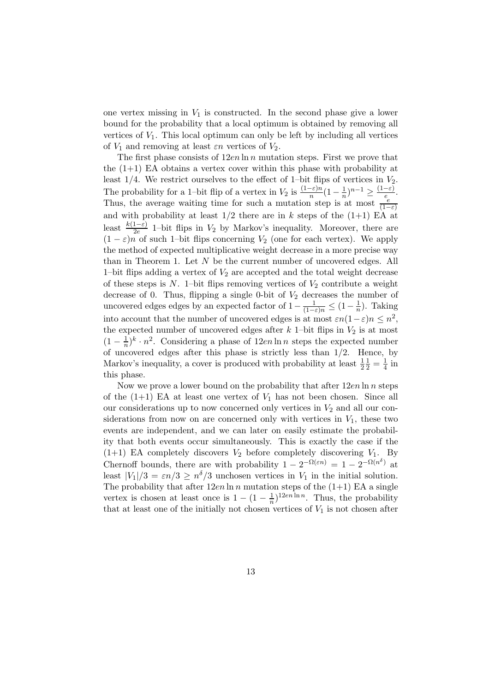one vertex missing in  $V_1$  is constructed. In the second phase give a lower bound for the probability that a local optimum is obtained by removing all vertices of  $V_1$ . This local optimum can only be left by including all vertices of  $V_1$  and removing at least  $\varepsilon n$  vertices of  $V_2$ .

The first phase consists of  $12en \ln n$  mutation steps. First we prove that the  $(1+1)$  EA obtains a vertex cover within this phase with probability at least  $1/4$ . We restrict ourselves to the effect of 1–bit flips of vertices in  $V_2$ . The probability for a 1–bit flip of a vertex in  $V_2$  is  $\frac{(1-\varepsilon)n}{n}(1-\frac{1}{n})$  $\frac{1}{n})^{n-1} \geq \frac{(1-\varepsilon)}{e}$  $\frac{-\varepsilon)}{e}$ . Thus, the average waiting time for such a mutation step is at most  $\frac{e}{(1-\varepsilon)}$ and with probability at least  $1/2$  there are in k steps of the  $(1+1)$  EA at least  $\frac{k(1-\varepsilon)}{2e}$  1–bit flips in  $V_2$  by Markov's inequality. Moreover, there are  $(1 - \varepsilon)n$  of such 1–bit flips concerning  $V_2$  (one for each vertex). We apply the method of expected multiplicative weight decrease in a more precise way than in Theorem 1. Let  $N$  be the current number of uncovered edges. All 1–bit flips adding a vertex of  $V_2$  are accepted and the total weight decrease of these steps is  $N$ . 1–bit flips removing vertices of  $V_2$  contribute a weight decrease of 0. Thus, flipping a single 0-bit of  $V_2$  decreases the number of uncovered edges edges by an expected factor of  $1 - \frac{1}{(1-\varepsilon)n} \leq (1-\frac{1}{n})$ . Taking into account that the number of uncovered edges is at most  $\varepsilon n(1-\varepsilon)n \leq n^2$ , the expected number of uncovered edges after  $k$  1–bit flips in  $V_2$  is at most  $(1 - \frac{1}{n})$  $\frac{1}{n}$ <sup>k</sup> ·  $n^2$ . Considering a phase of 12*en* ln *n* steps the expected number of uncovered edges after this phase is strictly less than  $1/2$ . Hence, by Markov's inequality, a cover is produced with probability at least  $\frac{1}{2}$  $\frac{1}{2} = \frac{1}{4}$  in this phase.

Now we prove a lower bound on the probability that after  $12en \ln n$  steps of the  $(1+1)$  EA at least one vertex of  $V_1$  has not been chosen. Since all our considerations up to now concerned only vertices in  $V_2$  and all our considerations from now on are concerned only with vertices in  $V_1$ , these two events are independent, and we can later on easily estimate the probability that both events occur simultaneously. This is exactly the case if the  $(1+1)$  EA completely discovers  $V_2$  before completely discovering  $V_1$ . By Chernoff bounds, there are with probability  $1 - 2^{-\Omega(\varepsilon n)} = 1 - 2^{-\Omega(n^{\delta})}$  at least  $|V_1|/3 = \varepsilon n/3 \ge n^{\delta}/3$  unchosen vertices in  $V_1$  in the initial solution. The probability that after  $12en \ln n$  mutation steps of the  $(1+1)$  EA a single vertex is chosen at least once is  $1 - (1 - \frac{1}{n})^{12en \ln n}$ . Thus, the probability that at least one of the initially not chosen vertices of  $V_1$  is not chosen after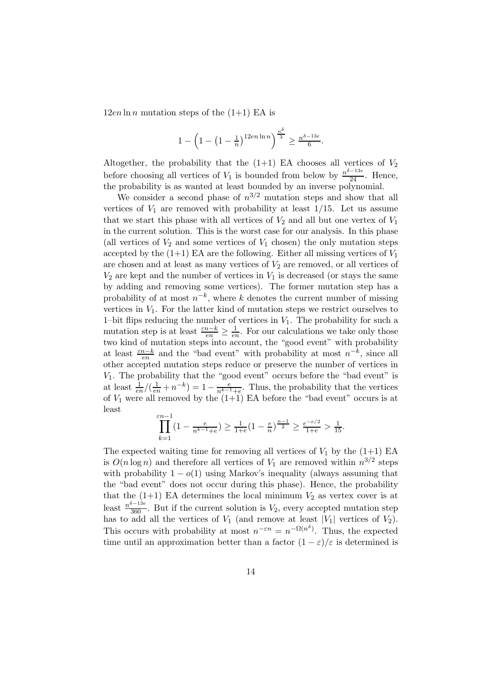$12en \ln n$  mutation steps of the  $(1+1)$  EA is

$$
1 - \left(1 - \left(1 - \frac{1}{n}\right)^{12e n \ln n}\right)^{\frac{n^{\delta}}{3}} \ge \frac{n^{\delta - 13e}}{6}.
$$

Altogether, the probability that the  $(1+1)$  EA chooses all vertices of  $V_2$ before choosing all vertices of  $V_1$  is bounded from below by  $\frac{n^{\delta-13e}}{24}$ . Hence, the probability is as wanted at least bounded by an inverse polynomial.

We consider a second phase of  $n^{3/2}$  mutation steps and show that all vertices of  $V_1$  are removed with probability at least  $1/15$ . Let us assume that we start this phase with all vertices of  $V_2$  and all but one vertex of  $V_1$ in the current solution. This is the worst case for our analysis. In this phase (all vertices of  $V_2$  and some vertices of  $V_1$  chosen) the only mutation steps accepted by the  $(1+1)$  EA are the following. Either all missing vertices of  $V_1$ are chosen and at least as many vertices of  $V_2$  are removed, or all vertices of  $V_2$  are kept and the number of vertices in  $V_1$  is decreased (or stays the same by adding and removing some vertices). The former mutation step has a probability of at most  $n^{-k}$ , where k denotes the current number of missing vertices in  $V_1$ . For the latter kind of mutation steps we restrict ourselves to 1–bit flips reducing the number of vertices in  $V_1$ . The probability for such a mutation step is at least  $\frac{\varepsilon n-k}{en} \geq \frac{1}{er}$  $\frac{1}{en}$ . For our calculations we take only those two kind of mutation steps into account, the "good event" with probability at least  $\frac{\varepsilon n - k}{en}$  and the "bad event" with probability at most  $n^{-k}$ , since all other accepted mutation steps reduce or preserve the number of vertices in  $V_1$ . The probability that the "good event" occurs before the "bad event" is at least  $\frac{1}{en}$ / $(\frac{1}{en} + n^{-k}) = 1 - \frac{e}{n^{k-1}+e}$ . Thus, the probability that the vertices of  $V_1$  were all removed by the  $(1+1)$  EA before the "bad event" occurs is at least

$$
\prod_{k=1}^{\varepsilon n-1} (1 - \frac{e}{n^{k-1} + e}) \ge \frac{1}{1+e} (1 - \frac{e}{n})^{\frac{n-1}{2}} \ge \frac{e^{-e/2}}{1+e} > \frac{1}{15}.
$$

The expected waiting time for removing all vertices of  $V_1$  by the  $(1+1)$  EA is  $O(n \log n)$  and therefore all vertices of  $V_1$  are removed within  $n^{3/2}$  steps with probability  $1 - o(1)$  using Markov's inequality (always assuming that the "bad event" does not occur during this phase). Hence, the probability that the  $(1+1)$  EA determines the local minimum  $V_2$  as vertex cover is at least  $\frac{n^{\delta-13e}}{360}$ . But if the current solution is  $V_2$ , every accepted mutation step has to add all the vertices of  $V_1$  (and remove at least  $|V_1|$  vertices of  $V_2$ ). This occurs with probability at most  $n^{-\varepsilon n} = n^{-\Omega(n^{\delta})}$ . Thus, the expected time until an approximation better than a factor  $(1 - \varepsilon)/\varepsilon$  is determined is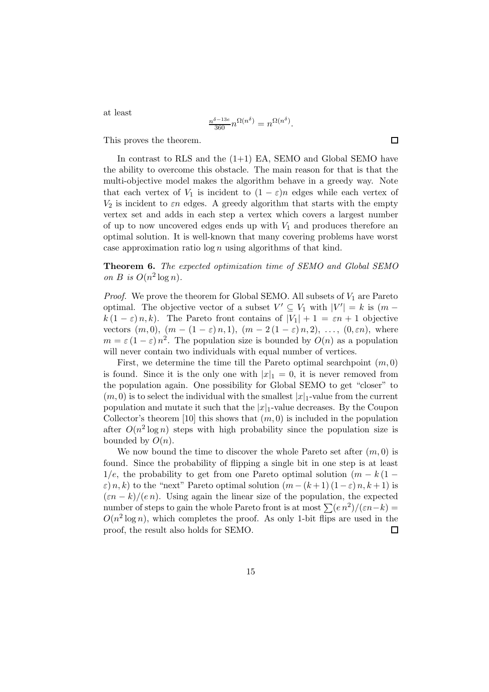at least

$$
\frac{n^{\delta-13e}}{360}n^{\Omega(n^{\delta})} = n^{\Omega(n^{\delta})}.
$$

This proves the theorem.

In contrast to RLS and the  $(1+1)$  EA, SEMO and Global SEMO have the ability to overcome this obstacle. The main reason for that is that the multi-objective model makes the algorithm behave in a greedy way. Note that each vertex of  $V_1$  is incident to  $(1 - \varepsilon)n$  edges while each vertex of  $V_2$  is incident to  $\varepsilon n$  edges. A greedy algorithm that starts with the empty vertex set and adds in each step a vertex which covers a largest number of up to now uncovered edges ends up with  $V_1$  and produces therefore an optimal solution. It is well-known that many covering problems have worst case approximation ratio  $\log n$  using algorithms of that kind.

Theorem 6. The expected optimization time of SEMO and Global SEMO on B is  $O(n^2 \log n)$ .

*Proof.* We prove the theorem for Global SEMO. All subsets of  $V_1$  are Pareto optimal. The objective vector of a subset  $V' \subseteq V_1$  with  $|V'| = k$  is  $(m$  $k(1 - \varepsilon) n, k$ . The Pareto front contains of  $|V_1| + 1 = \varepsilon n + 1$  objective vectors  $(m, 0)$ ,  $(m - (1 - \varepsilon) n, 1)$ ,  $(m - 2(1 - \varepsilon) n, 2)$ , ...,  $(0, \varepsilon n)$ , where  $m = \varepsilon (1 - \varepsilon) n^2$ . The population size is bounded by  $O(n)$  as a population will never contain two individuals with equal number of vertices.

First, we determine the time till the Pareto optimal searchpoint  $(m, 0)$ is found. Since it is the only one with  $|x|_1 = 0$ , it is never removed from the population again. One possibility for Global SEMO to get "closer" to  $(m, 0)$  is to select the individual with the smallest  $|x|_1$ -value from the current population and mutate it such that the  $|x|_1$ -value decreases. By the Coupon Collector's theorem [10] this shows that  $(m, 0)$  is included in the population after  $O(n^2 \log n)$  steps with high probability since the population size is bounded by  $O(n)$ .

We now bound the time to discover the whole Pareto set after  $(m, 0)$  is found. Since the probability of flipping a single bit in one step is at least  $1/e$ , the probability to get from one Pareto optimal solution  $(m - k(1 \varepsilon$ ) n, k) to the "next" Pareto optimal solution  $(m - (k+1) (1 - \varepsilon) n, k+1)$  is  $(\varepsilon n - k)/(e n)$ . Using again the linear size of the population, the expected number of steps to gain the whole Pareto front is at most  $\sum (e n^2) / (\varepsilon n - k) =$  $O(n^2 \log n)$ , which completes the proof. As only 1-bit flips are used in the proof, the result also holds for SEMO. 囗

15

 $\Box$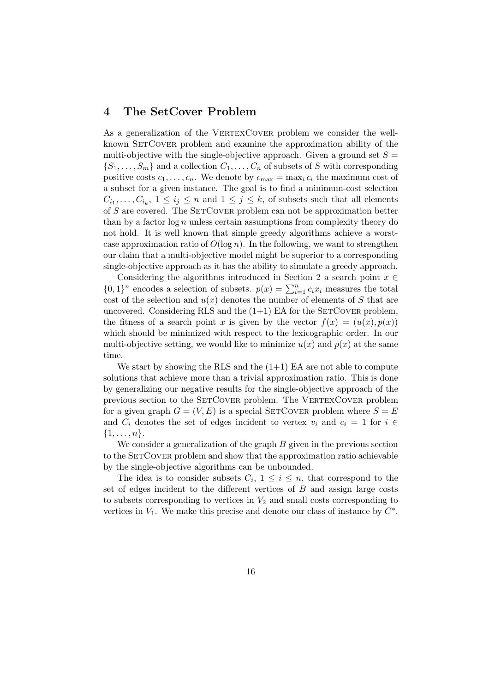## 4 The SetCover Problem

As a generalization of the VERTEXCOVER problem we consider the wellknown SetCover problem and examine the approximation ability of the multi-objective with the single-objective approach. Given a ground set  $S =$  $\{S_1, \ldots, S_m\}$  and a collection  $C_1, \ldots, C_n$  of subsets of S with corresponding positive costs  $c_1, \ldots, c_n$ . We denote by  $c_{\max} = \max_i c_i$  the maximum cost of a subset for a given instance. The goal is to find a minimum-cost selection  $C_{i_1}, \ldots, C_{i_k}, 1 \leq i_j \leq n$  and  $1 \leq j \leq k$ , of subsets such that all elements of  $S$  are covered. The SETCOVER problem can not be approximation better than by a factor  $log n$  unless certain assumptions from complexity theory do not hold. It is well known that simple greedy algorithms achieve a worstcase approximation ratio of  $O(\log n)$ . In the following, we want to strengthen our claim that a multi-objective model might be superior to a corresponding single-objective approach as it has the ability to simulate a greedy approach.

Considering the algorithms introduced in Section 2 a search point  $x \in$  $\{0,1\}^n$  encodes a selection of subsets.  $p(x) = \sum_{i=1}^n c_i x_i$  measures the total cost of the selection and  $u(x)$  denotes the number of elements of S that are uncovered. Considering RLS and the  $(1+1)$  EA for the SETCOVER problem. the fitness of a search point x is given by the vector  $f(x) = (u(x), p(x))$ which should be minimized with respect to the lexicographic order. In our multi-objective setting, we would like to minimize  $u(x)$  and  $p(x)$  at the same time.

We start by showing the RLS and the  $(1+1)$  EA are not able to compute solutions that achieve more than a trivial approximation ratio. This is done by generalizing our negative results for the single-objective approach of the previous section to the SETCOVER problem. The VERTEXCOVER problem for a given graph  $G = (V, E)$  is a special SETCOVER problem where  $S = E$ and  $C_i$  denotes the set of edges incident to vertex  $v_i$  and  $c_i = 1$  for  $i \in$  $\{1,\ldots,n\}.$ 

We consider a generalization of the graph  $B$  given in the previous section to the SET COVER problem and show that the approximation ratio achievable by the single-objective algorithms can be unbounded.

The idea is to consider subsets  $C_i$ ,  $1 \leq i \leq n$ , that correspond to the set of edges incident to the different vertices of  $B$  and assign large costs to subsets corresponding to vertices in  $V_2$  and small costs corresponding to vertices in  $V_1$ . We make this precise and denote our class of instance by  $C^*$ .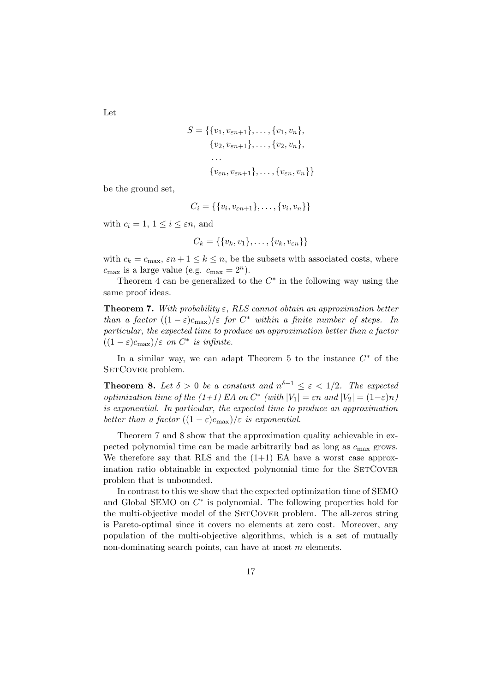$$
S = \{\{v_1, v_{\varepsilon n+1}\}, \dots, \{v_1, v_n\},\
$$

$$
\{v_2, v_{\varepsilon n+1}\}, \dots, \{v_2, v_n\},\
$$

$$
\dots
$$

$$
\{v_{\varepsilon n}, v_{\varepsilon n+1}\}, \dots, \{v_{\varepsilon n}, v_n\}\}
$$

be the ground set,

$$
C_i = \{ \{v_i, v_{\varepsilon n+1}\}, \ldots, \{v_i, v_n\} \}
$$

with  $c_i = 1, 1 \leq i \leq \varepsilon n$ , and

$$
C_k = \{\{v_k, v_1\}, \ldots, \{v_k, v_{\varepsilon n}\}\}\
$$

with  $c_k = c_{\text{max}}$ ,  $\varepsilon n + 1 \le k \le n$ , be the subsets with associated costs, where  $c_{\text{max}}$  is a large value (e.g.  $c_{\text{max}} = 2^n$ ).

Theorem 4 can be generalized to the  $C^*$  in the following way using the same proof ideas.

**Theorem 7.** With probability  $\varepsilon$ , RLS cannot obtain an approximation better than a factor  $((1 - \varepsilon)c_{\text{max}})/\varepsilon$  for  $C^*$  within a finite number of steps. In particular, the expected time to produce an approximation better than a factor  $((1 - \varepsilon)c_{\text{max}})/\varepsilon$  on  $C^*$  is infinite.

In a similar way, we can adapt Theorem 5 to the instance  $C^*$  of the SETCOVER problem.

**Theorem 8.** Let  $\delta > 0$  be a constant and  $n^{\delta-1} \leq \varepsilon < 1/2$ . The expected optimization time of the (1+1) EA on  $C^*$  (with  $|V_1| = \varepsilon n$  and  $|V_2| = (1-\varepsilon)n$ ) is exponential. In particular, the expected time to produce an approximation better than a factor  $((1 - \varepsilon)c_{\text{max}})/\varepsilon$  is exponential.

Theorem 7 and 8 show that the approximation quality achievable in expected polynomial time can be made arbitrarily bad as long as  $c_{\text{max}}$  grows. We therefore say that RLS and the  $(1+1)$  EA have a worst case approximation ratio obtainable in expected polynomial time for the SETCOVER problem that is unbounded.

In contrast to this we show that the expected optimization time of SEMO and Global SEMO on  $C^*$  is polynomial. The following properties hold for the multi-objective model of the SETCOVER problem. The all-zeros string is Pareto-optimal since it covers no elements at zero cost. Moreover, any population of the multi-objective algorithms, which is a set of mutually non-dominating search points, can have at most m elements.

Let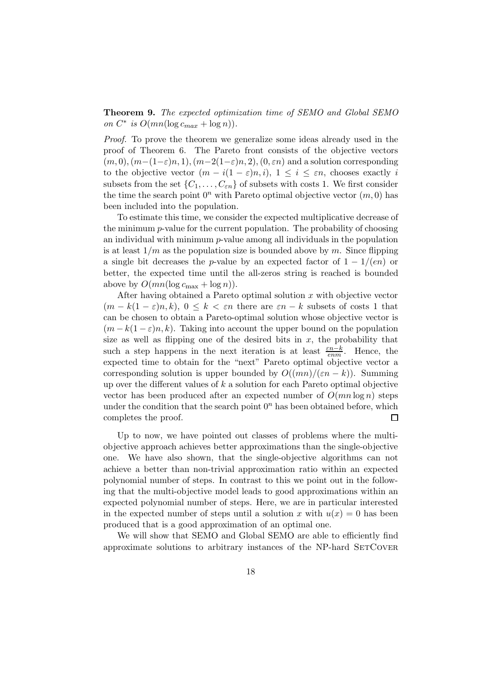Theorem 9. The expected optimization time of SEMO and Global SEMO on  $C^*$  is  $O(mn(\log c_{max} + \log n)).$ 

Proof. To prove the theorem we generalize some ideas already used in the proof of Theorem 6. The Pareto front consists of the objective vectors  $(m, 0), (m-(1-\varepsilon)n, 1), (m-2(1-\varepsilon)n, 2), (0, \varepsilon n)$  and a solution corresponding to the objective vector  $(m - i(1 - \varepsilon)n, i)$ ,  $1 \leq i \leq \varepsilon n$ , chooses exactly i subsets from the set  $\{C_1, \ldots, C_{\varepsilon n}\}$  of subsets with costs 1. We first consider the time the search point  $0^n$  with Pareto optimal objective vector  $(m, 0)$  has been included into the population.

To estimate this time, we consider the expected multiplicative decrease of the minimum  $p$ -value for the current population. The probability of choosing an individual with minimum  $p$ -value among all individuals in the population is at least  $1/m$  as the population size is bounded above by m. Since flipping a single bit decreases the p-value by an expected factor of  $1 - 1/(en)$  or better, the expected time until the all-zeros string is reached is bounded above by  $O(mn(\log c_{\max} + \log n)).$ 

After having obtained a Pareto optimal solution  $x$  with objective vector  $(m - k(1 - \varepsilon)n, k), 0 \leq k < \varepsilon n$  there are  $\varepsilon n - k$  subsets of costs 1 that can be chosen to obtain a Pareto-optimal solution whose objective vector is  $(m - k(1 - \varepsilon)n, k)$ . Taking into account the upper bound on the population size as well as flipping one of the desired bits in  $x$ , the probability that such a step happens in the next iteration is at least  $\frac{\varepsilon n-k}{\varepsilon nm}$ . Hence, the expected time to obtain for the "next" Pareto optimal objective vector a corresponding solution is upper bounded by  $O((mn)/(\varepsilon n - k))$ . Summing up over the different values of  $k$  a solution for each Pareto optimal objective vector has been produced after an expected number of  $O(mn \log n)$  steps under the condition that the search point  $0<sup>n</sup>$  has been obtained before, which completes the proof.  $\Box$ 

Up to now, we have pointed out classes of problems where the multiobjective approach achieves better approximations than the single-objective one. We have also shown, that the single-objective algorithms can not achieve a better than non-trivial approximation ratio within an expected polynomial number of steps. In contrast to this we point out in the following that the multi-objective model leads to good approximations within an expected polynomial number of steps. Here, we are in particular interested in the expected number of steps until a solution x with  $u(x) = 0$  has been produced that is a good approximation of an optimal one.

We will show that SEMO and Global SEMO are able to efficiently find approximate solutions to arbitrary instances of the NP-hard SETCOVER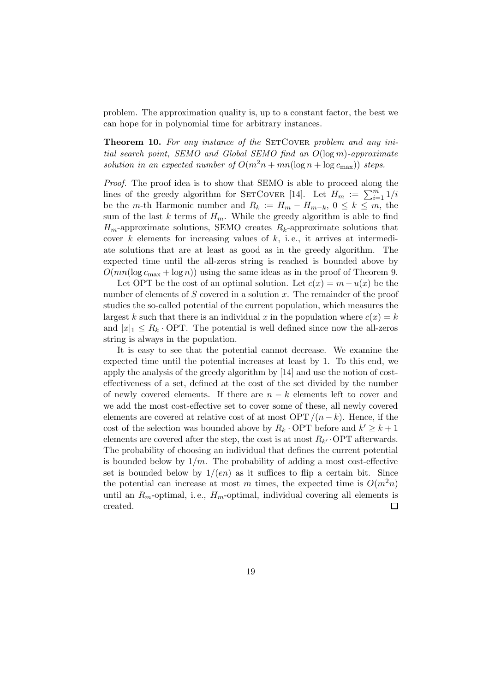problem. The approximation quality is, up to a constant factor, the best we can hope for in polynomial time for arbitrary instances.

**Theorem 10.** For any instance of the SETCOVER problem and any initial search point, SEMO and Global SEMO find an  $O(\log m)$ -approximate solution in an expected number of  $O(m^2n + mn(\log n + \log c_{\max}))$  steps.

Proof. The proof idea is to show that SEMO is able to proceed along the lines of the greedy algorithm for SETCOVER [14]. Let  $H_m := \sum_{i=1}^m 1/i$ be the m-th Harmonic number and  $R_k := H_m - H_{m-k}$ ,  $0 \leq k \leq m$ , the sum of the last k terms of  $H_m$ . While the greedy algorithm is able to find  $H_m$ -approximate solutions, SEMO creates  $R_k$ -approximate solutions that cover  $k$  elements for increasing values of  $k$ , i.e., it arrives at intermediate solutions that are at least as good as in the greedy algorithm. The expected time until the all-zeros string is reached is bounded above by  $O(mn(\log c_{\max} + \log n))$  using the same ideas as in the proof of Theorem 9.

Let OPT be the cost of an optimal solution. Let  $c(x) = m - u(x)$  be the number of elements of S covered in a solution x. The remainder of the proof studies the so-called potential of the current population, which measures the largest k such that there is an individual x in the population where  $c(x) = k$ and  $|x|_1 \leq R_k$ . OPT. The potential is well defined since now the all-zeros string is always in the population.

It is easy to see that the potential cannot decrease. We examine the expected time until the potential increases at least by 1. To this end, we apply the analysis of the greedy algorithm by [14] and use the notion of costeffectiveness of a set, defined at the cost of the set divided by the number of newly covered elements. If there are  $n - k$  elements left to cover and we add the most cost-effective set to cover some of these, all newly covered elements are covered at relative cost of at most  $\text{OPT}/(n-k)$ . Hence, if the cost of the selection was bounded above by  $R_k \cdot \text{OPT}$  before and  $k' \geq k+1$ elements are covered after the step, the cost is at most  $R_{k'}$  OPT afterwards. The probability of choosing an individual that defines the current potential is bounded below by  $1/m$ . The probability of adding a most cost-effective set is bounded below by  $1/(en)$  as it suffices to flip a certain bit. Since the potential can increase at most m times, the expected time is  $O(m^2n)$ until an  $R_m$ -optimal, i.e.,  $H_m$ -optimal, individual covering all elements is created.  $\Box$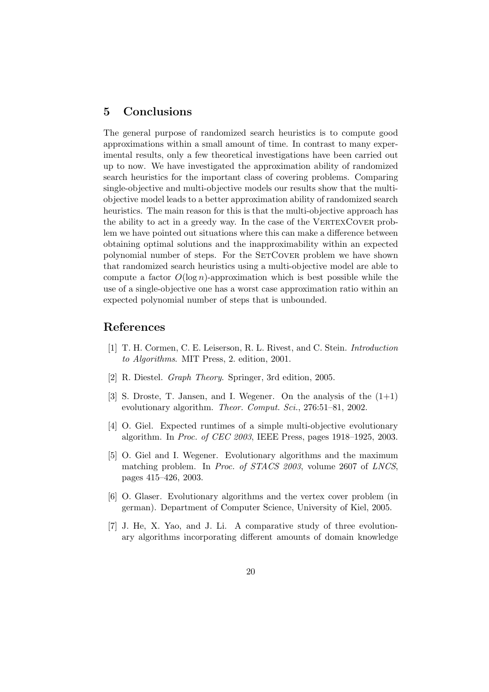## 5 Conclusions

The general purpose of randomized search heuristics is to compute good approximations within a small amount of time. In contrast to many experimental results, only a few theoretical investigations have been carried out up to now. We have investigated the approximation ability of randomized search heuristics for the important class of covering problems. Comparing single-objective and multi-objective models our results show that the multiobjective model leads to a better approximation ability of randomized search heuristics. The main reason for this is that the multi-objective approach has the ability to act in a greedy way. In the case of the VERTEXCOVER problem we have pointed out situations where this can make a difference between obtaining optimal solutions and the inapproximability within an expected polynomial number of steps. For the SETCOVER problem we have shown that randomized search heuristics using a multi-objective model are able to compute a factor  $O(\log n)$ -approximation which is best possible while the use of a single-objective one has a worst case approximation ratio within an expected polynomial number of steps that is unbounded.

## References

- [1] T. H. Cormen, C. E. Leiserson, R. L. Rivest, and C. Stein. Introduction to Algorithms. MIT Press, 2. edition, 2001.
- [2] R. Diestel. Graph Theory. Springer, 3rd edition, 2005.
- [3] S. Droste, T. Jansen, and I. Wegener. On the analysis of the  $(1+1)$ evolutionary algorithm. Theor. Comput. Sci., 276:51-81, 2002.
- [4] O. Giel. Expected runtimes of a simple multi-objective evolutionary algorithm. In Proc. of CEC 2003, IEEE Press, pages 1918–1925, 2003.
- [5] O. Giel and I. Wegener. Evolutionary algorithms and the maximum matching problem. In Proc. of STACS 2003, volume 2607 of LNCS, pages 415–426, 2003.
- [6] O. Glaser. Evolutionary algorithms and the vertex cover problem (in german). Department of Computer Science, University of Kiel, 2005.
- [7] J. He, X. Yao, and J. Li. A comparative study of three evolutionary algorithms incorporating different amounts of domain knowledge